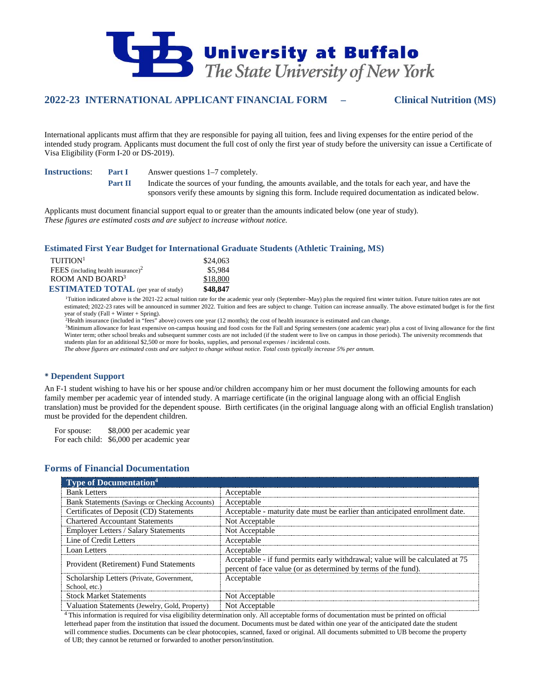

# **2022-23 INTERNATIONAL APPLICANT FINANCIAL FORM – Clinical Nutrition (MS)**

International applicants must affirm that they are responsible for paying all tuition, fees and living expenses for the entire period of the intended study program. Applicants must document the full cost of only the first year of study before the university can issue a Certificate of Visa Eligibility (Form I-20 or DS-2019).

**Instructions**: **Part I** Answer questions 1–7 completely.

**Part II** Indicate the sources of your funding, the amounts available, and the totals for each year, and have the sponsors verify these amounts by signing this form. Include required documentation as indicated below.

Applicants must document financial support equal to or greater than the amounts indicated below (one year of study). *These figures are estimated costs and are subject to increase without notice.*

### **Estimated First Year Budget for International Graduate Students (Athletic Training, MS)**

| TUITION <sup>1</sup>                       | \$24,063 |
|--------------------------------------------|----------|
| FEES (including health insurance) $2$      | \$5,984  |
| ROOM AND BOARD <sup>3</sup>                | \$18,800 |
| <b>ESTIMATED TOTAL</b> (per year of study) | \$48,847 |

1 Tuition indicated above is the 2021-22 actual tuition rate for the academic year only (September–May) plus the required first winter tuition. Future tuition rates are not estimated; 2022-23 rates will be announced in summer 2022. Tuition and fees are subject to change. Tuition can increase annually. The above estimated budget is for the first year of study (Fall + Winter + Spring).

2 Health insurance (included in "fees" above) covers one year (12 months); the cost of health insurance is estimated and can change.

3 Minimum allowance for least expensive on-campus housing and food costs for the Fall and Spring semesters (one academic year) plus a cost of living allowance for the first Winter term; other school breaks and subsequent summer costs are not included (if the student were to live on campus in those periods). The university recommends that students plan for an additional \$2,500 or more for books, supplies, and personal expenses / incidental costs.

*The above figures are estimated costs and are subject to change without notice. Total costs typically increase 5% per annum.*

## **Dependent Support**

An F-1 student wishing to have his or her spouse and/or children accompany him or her must document the following amounts for each family member per academic year of intended study. A marriage certificate (in the original language along with an official English translation) must be provided for the dependent spouse. Birth certificates (in the original language along with an official English translation) must be provided for the dependent children.

For spouse: \$8,000 per academic year For each child: \$6,000 per academic year

## **Forms of Financial Documentation**

| <b>Type of Documentation</b> <sup>4</sup>                  |                                                                                                                                                 |
|------------------------------------------------------------|-------------------------------------------------------------------------------------------------------------------------------------------------|
| <b>Bank Letters</b>                                        | Acceptable                                                                                                                                      |
| Bank Statements (Savings or Checking Accounts)             | Acceptable                                                                                                                                      |
| Certificates of Deposit (CD) Statements                    | Acceptable - maturity date must be earlier than anticipated enrollment date.                                                                    |
| <b>Chartered Accountant Statements</b>                     | Not Acceptable                                                                                                                                  |
| <b>Employer Letters / Salary Statements</b>                | Not Acceptable                                                                                                                                  |
| Line of Credit Letters                                     | Acceptable                                                                                                                                      |
| Loan Letters                                               | Acceptable                                                                                                                                      |
| Provident (Retirement) Fund Statements                     | Acceptable - if fund permits early withdrawal; value will be calculated at 75<br>percent of face value (or as determined by terms of the fund). |
| Scholarship Letters (Private, Government,<br>School, etc.) | Acceptable                                                                                                                                      |
| <b>Stock Market Statements</b>                             | Not Acceptable                                                                                                                                  |
| Valuation Statements (Jewelry, Gold, Property)             | Not Acceptable                                                                                                                                  |

4 This information is required for visa eligibility determination only. All acceptable forms of documentation must be printed on official letterhead paper from the institution that issued the document. Documents must be dated within one year of the anticipated date the student will commence studies. Documents can be clear photocopies, scanned, faxed or original. All documents submitted to UB become the property of UB; they cannot be returned or forwarded to another person/institution.